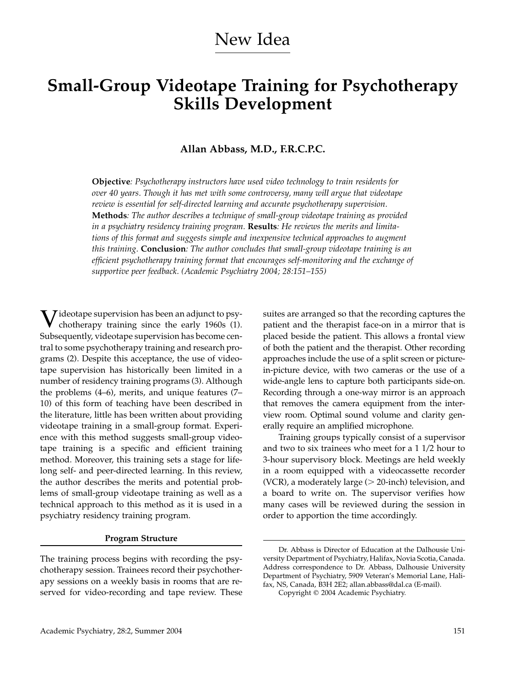# New Idea

# **Small-Group Videotape Training for Psychotherapy Skills Development**

## **Allan Abbass, M.D., F.R.C.P.C.**

**Objective***: Psychotherapy instructors have used video technology to train residents for over 40 years. Though it has met with some controversy, many will argue that videotape review is essential for self-directed learning and accurate psychotherapy supervision.* **Methods***: The author describes a technique of small-group videotape training as provided in a psychiatry residency training program.* **Results***: He reviews the merits and limitations of this format and suggests simple and inexpensive technical approaches to augment this training.* **Conclusion***: The author concludes that small-group videotape training is an efficient psychotherapy training format that encourages self-monitoring and the exchange of supportive peer feedback. (Academic Psychiatry 2004; 28:151–155)*

 $\sum$  ideotape supervision has been an adjunct to psychotherapy training since the early 1960s (1). Subsequently, videotape supervision has become central to some psychotherapy training and research programs (2). Despite this acceptance, the use of videotape supervision has historically been limited in a number of residency training programs (3). Although the problems (4–6), merits, and unique features (7– 10) of this form of teaching have been described in the literature, little has been written about providing videotape training in a small-group format. Experience with this method suggests small-group videotape training is a specific and efficient training method. Moreover, this training sets a stage for lifelong self- and peer-directed learning. In this review, the author describes the merits and potential problems of small-group videotape training as well as a technical approach to this method as it is used in a psychiatry residency training program.

#### **Program Structure**

The training process begins with recording the psychotherapy session. Trainees record their psychotherapy sessions on a weekly basis in rooms that are reserved for video-recording and tape review. These

suites are arranged so that the recording captures the patient and the therapist face-on in a mirror that is placed beside the patient. This allows a frontal view of both the patient and the therapist. Other recording approaches include the use of a split screen or picturein-picture device, with two cameras or the use of a wide-angle lens to capture both participants side-on. Recording through a one-way mirror is an approach that removes the camera equipment from the interview room. Optimal sound volume and clarity generally require an amplified microphone.

Training groups typically consist of a supervisor and two to six trainees who meet for a 1 1/2 hour to 3-hour supervisory block. Meetings are held weekly in a room equipped with a videocassette recorder (VCR), a moderately large  $(> 20$ -inch) television, and a board to write on. The supervisor verifies how many cases will be reviewed during the session in order to apportion the time accordingly.

Dr. Abbass is Director of Education at the Dalhousie University Department of Psychiatry, Halifax, Novia Scotia, Canada. Address correspondence to Dr. Abbass, Dalhousie University Department of Psychiatry, 5909 Veteran's Memorial Lane, Halifax, NS, Canada, B3H 2E2; allan.abbass@dal.ca (E-mail).

Copyright © 2004 Academic Psychiatry.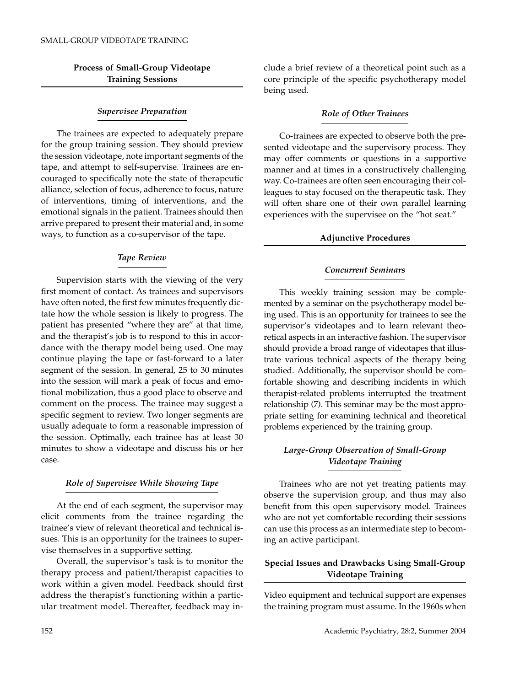# **Process of Small-Group Videotape Training Sessions**

### *Supervisee Preparation*

The trainees are expected to adequately prepare for the group training session. They should preview the session videotape, note important segments of the tape, and attempt to self-supervise. Trainees are encouraged to specifically note the state of therapeutic alliance, selection of focus, adherence to focus, nature of interventions, timing of interventions, and the emotional signals in the patient. Trainees should then arrive prepared to present their material and, in some ways, to function as a co-supervisor of the tape.

## *Tape Review*

Supervision starts with the viewing of the very first moment of contact. As trainees and supervisors have often noted, the first few minutes frequently dictate how the whole session is likely to progress. The patient has presented "where they are" at that time, and the therapist's job is to respond to this in accordance with the therapy model being used. One may continue playing the tape or fast-forward to a later segment of the session. In general, 25 to 30 minutes into the session will mark a peak of focus and emotional mobilization, thus a good place to observe and comment on the process. The trainee may suggest a specific segment to review. Two longer segments are usually adequate to form a reasonable impression of the session. Optimally, each trainee has at least 30 minutes to show a videotape and discuss his or her case.

#### *Role of Supervisee While Showing Tape*

At the end of each segment, the supervisor may elicit comments from the trainee regarding the trainee's view of relevant theoretical and technical issues. This is an opportunity for the trainees to supervise themselves in a supportive setting.

Overall, the supervisor's task is to monitor the therapy process and patient/therapist capacities to work within a given model. Feedback should first address the therapist's functioning within a particular treatment model. Thereafter, feedback may include a brief review of a theoretical point such as a core principle of the specific psychotherapy model being used.

#### *Role of Other Trainees*

Co-trainees are expected to observe both the presented videotape and the supervisory process. They may offer comments or questions in a supportive manner and at times in a constructively challenging way. Co-trainees are often seen encouraging their colleagues to stay focused on the therapeutic task. They will often share one of their own parallel learning experiences with the supervisee on the "hot seat."

## **Adjunctive Procedures**

### *Concurrent Seminars*

This weekly training session may be complemented by a seminar on the psychotherapy model being used. This is an opportunity for trainees to see the supervisor's videotapes and to learn relevant theoretical aspects in an interactive fashion. The supervisor should provide a broad range of videotapes that illustrate various technical aspects of the therapy being studied. Additionally, the supervisor should be comfortable showing and describing incidents in which therapist-related problems interrupted the treatment relationship (7). This seminar may be the most appropriate setting for examining technical and theoretical problems experienced by the training group.

# *Large-Group Observation of Small-Group Videotape Training*

Trainees who are not yet treating patients may observe the supervision group, and thus may also benefit from this open supervisory model. Trainees who are not yet comfortable recording their sessions can use this process as an intermediate step to becoming an active participant.

# **Special Issues and Drawbacks Using Small-Group Videotape Training**

Video equipment and technical support are expenses the training program must assume. In the 1960s when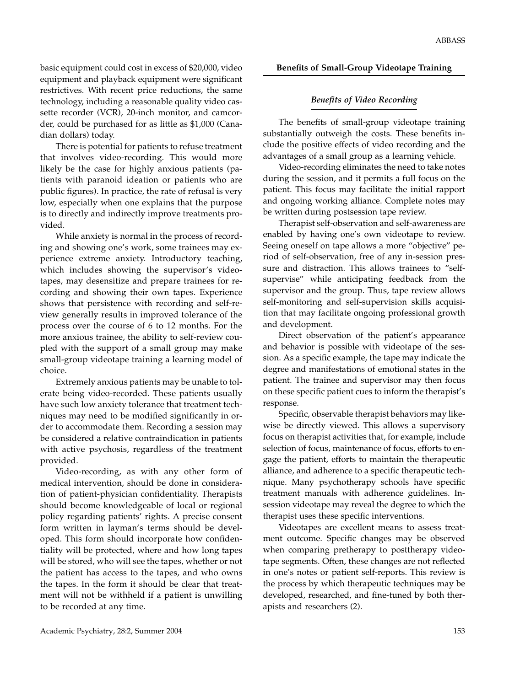basic equipment could cost in excess of \$20,000, video equipment and playback equipment were significant restrictives. With recent price reductions, the same technology, including a reasonable quality video cassette recorder (VCR), 20-inch monitor, and camcorder, could be purchased for as little as \$1,000 (Canadian dollars) today.

There is potential for patients to refuse treatment that involves video-recording. This would more likely be the case for highly anxious patients (patients with paranoid ideation or patients who are public figures). In practice, the rate of refusal is very low, especially when one explains that the purpose is to directly and indirectly improve treatments provided.

While anxiety is normal in the process of recording and showing one's work, some trainees may experience extreme anxiety. Introductory teaching, which includes showing the supervisor's videotapes, may desensitize and prepare trainees for recording and showing their own tapes. Experience shows that persistence with recording and self-review generally results in improved tolerance of the process over the course of 6 to 12 months. For the more anxious trainee, the ability to self-review coupled with the support of a small group may make small-group videotape training a learning model of choice.

Extremely anxious patients may be unable to tolerate being video-recorded. These patients usually have such low anxiety tolerance that treatment techniques may need to be modified significantly in order to accommodate them. Recording a session may be considered a relative contraindication in patients with active psychosis, regardless of the treatment provided.

Video-recording, as with any other form of medical intervention, should be done in consideration of patient-physician confidentiality. Therapists should become knowledgeable of local or regional policy regarding patients' rights. A precise consent form written in layman's terms should be developed. This form should incorporate how confidentiality will be protected, where and how long tapes will be stored, who will see the tapes, whether or not the patient has access to the tapes, and who owns the tapes. In the form it should be clear that treatment will not be withheld if a patient is unwilling to be recorded at any time.

#### **Benefits of Small-Group Videotape Training**

#### *Benefits of Video Recording*

The benefits of small-group videotape training substantially outweigh the costs. These benefits include the positive effects of video recording and the advantages of a small group as a learning vehicle.

Video-recording eliminates the need to take notes during the session, and it permits a full focus on the patient. This focus may facilitate the initial rapport and ongoing working alliance. Complete notes may be written during postsession tape review.

Therapist self-observation and self-awareness are enabled by having one's own videotape to review. Seeing oneself on tape allows a more "objective" period of self-observation, free of any in-session pressure and distraction. This allows trainees to "selfsupervise" while anticipating feedback from the supervisor and the group. Thus, tape review allows self-monitoring and self-supervision skills acquisition that may facilitate ongoing professional growth and development.

Direct observation of the patient's appearance and behavior is possible with videotape of the session. As a specific example, the tape may indicate the degree and manifestations of emotional states in the patient. The trainee and supervisor may then focus on these specific patient cues to inform the therapist's response.

Specific, observable therapist behaviors may likewise be directly viewed. This allows a supervisory focus on therapist activities that, for example, include selection of focus, maintenance of focus, efforts to engage the patient, efforts to maintain the therapeutic alliance, and adherence to a specific therapeutic technique. Many psychotherapy schools have specific treatment manuals with adherence guidelines. Insession videotape may reveal the degree to which the therapist uses these specific interventions.

Videotapes are excellent means to assess treatment outcome. Specific changes may be observed when comparing pretherapy to posttherapy videotape segments. Often, these changes are not reflected in one's notes or patient self-reports. This review is the process by which therapeutic techniques may be developed, researched, and fine-tuned by both therapists and researchers (2).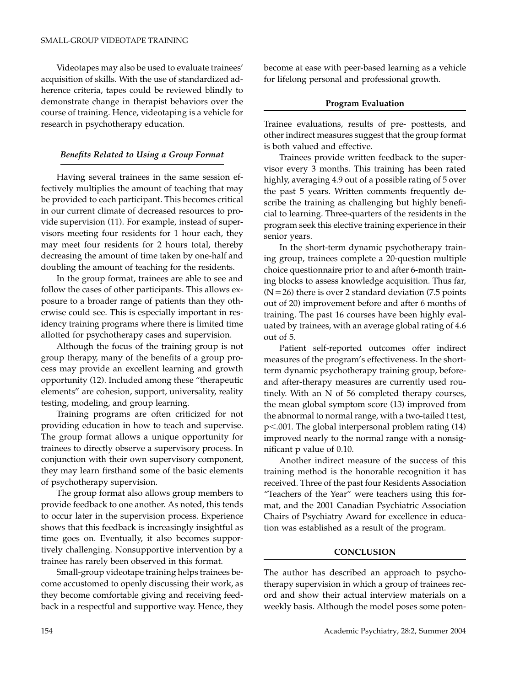Videotapes may also be used to evaluate trainees' acquisition of skills. With the use of standardized adherence criteria, tapes could be reviewed blindly to demonstrate change in therapist behaviors over the course of training. Hence, videotaping is a vehicle for research in psychotherapy education.

#### *Benefits Related to Using a Group Format*

Having several trainees in the same session effectively multiplies the amount of teaching that may be provided to each participant. This becomes critical in our current climate of decreased resources to provide supervision (11). For example, instead of supervisors meeting four residents for 1 hour each, they may meet four residents for 2 hours total, thereby decreasing the amount of time taken by one-half and doubling the amount of teaching for the residents.

In the group format, trainees are able to see and follow the cases of other participants. This allows exposure to a broader range of patients than they otherwise could see. This is especially important in residency training programs where there is limited time allotted for psychotherapy cases and supervision.

Although the focus of the training group is not group therapy, many of the benefits of a group process may provide an excellent learning and growth opportunity (12). Included among these "therapeutic elements" are cohesion, support, universality, reality testing, modeling, and group learning.

Training programs are often criticized for not providing education in how to teach and supervise. The group format allows a unique opportunity for trainees to directly observe a supervisory process. In conjunction with their own supervisory component, they may learn firsthand some of the basic elements of psychotherapy supervision.

The group format also allows group members to provide feedback to one another. As noted, this tends to occur later in the supervision process. Experience shows that this feedback is increasingly insightful as time goes on. Eventually, it also becomes supportively challenging. Nonsupportive intervention by a trainee has rarely been observed in this format.

Small-group videotape training helps trainees become accustomed to openly discussing their work, as they become comfortable giving and receiving feedback in a respectful and supportive way. Hence, they become at ease with peer-based learning as a vehicle for lifelong personal and professional growth.

#### **Program Evaluation**

Trainee evaluations, results of pre- posttests, and other indirect measures suggest that the group format is both valued and effective.

Trainees provide written feedback to the supervisor every 3 months. This training has been rated highly, averaging 4.9 out of a possible rating of 5 over the past 5 years. Written comments frequently describe the training as challenging but highly beneficial to learning. Three-quarters of the residents in the program seek this elective training experience in their senior years.

In the short-term dynamic psychotherapy training group, trainees complete a 20-question multiple choice questionnaire prior to and after 6-month training blocks to assess knowledge acquisition. Thus far,  $(N=26)$  there is over 2 standard deviation (7.5 points out of 20) improvement before and after 6 months of training. The past 16 courses have been highly evaluated by trainees, with an average global rating of 4.6 out of 5.

Patient self-reported outcomes offer indirect measures of the program's effectiveness. In the shortterm dynamic psychotherapy training group, beforeand after-therapy measures are currently used routinely. With an N of 56 completed therapy courses, the mean global symptom score (13) improved from the abnormal to normal range, with a two-tailed t test, p-.001. The global interpersonal problem rating (14) improved nearly to the normal range with a nonsignificant p value of 0.10.

Another indirect measure of the success of this training method is the honorable recognition it has received. Three of the past four Residents Association "Teachers of the Year" were teachers using this format, and the 2001 Canadian Psychiatric Association Chairs of Psychiatry Award for excellence in education was established as a result of the program.

## **CONCLUSION**

The author has described an approach to psychotherapy supervision in which a group of trainees record and show their actual interview materials on a weekly basis. Although the model poses some poten-